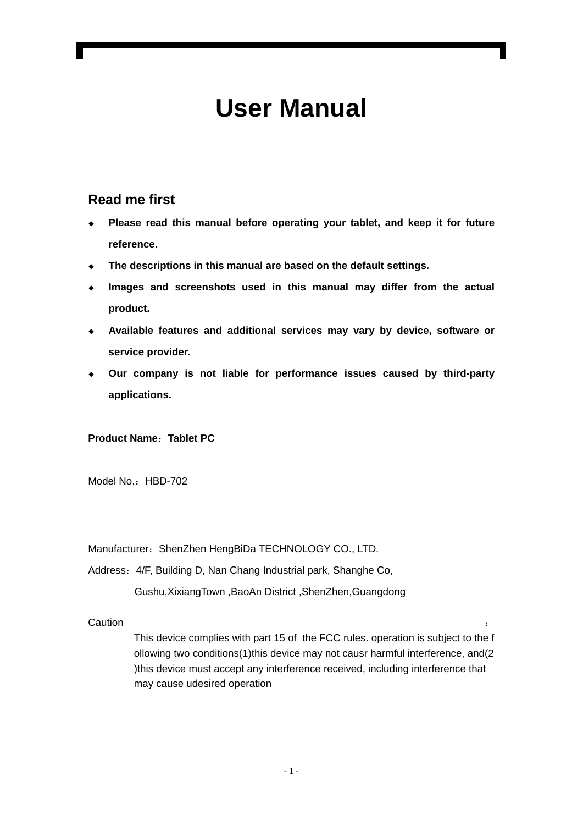# **User Manual**

#### **Read me first**

- **Please read this manual before operating your tablet, and keep it for future reference.**
- **The descriptions in this manual are based on the default settings.**
- **Images and screenshots used in this manual may differ from the actual product.**
- **Available features and additional services may vary by device, software or service provider.**
- **Our company is not liable for performance issues caused by third-party applications.**

#### **Product Name**:**Tablet PC**

Model No.: HBD-702

Manufacturer: ShenZhen HengBiDa TECHNOLOGY CO., LTD.

Address:4/F, Building D, Nan Chang Industrial park, Shanghe Co,

Gushu,XixiangTown ,BaoAn District ,ShenZhen,Guangdong

**Caution** is a contract to the contract of the contract of the contract of the contract of the contract of the contract of the contract of the contract of the contract of the contract of the contract of the contract of the

This device complies with part 15 of the FCC rules. operation is subject to the f ollowing two conditions(1)this device may not causr harmful interference, and(2 )this device must accept any interference received, including interference that may cause udesired operation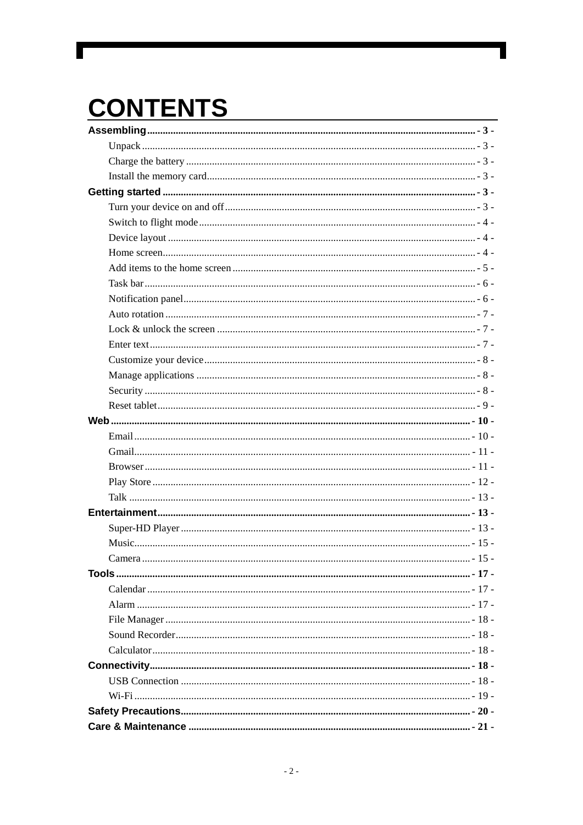# **CONTENTS**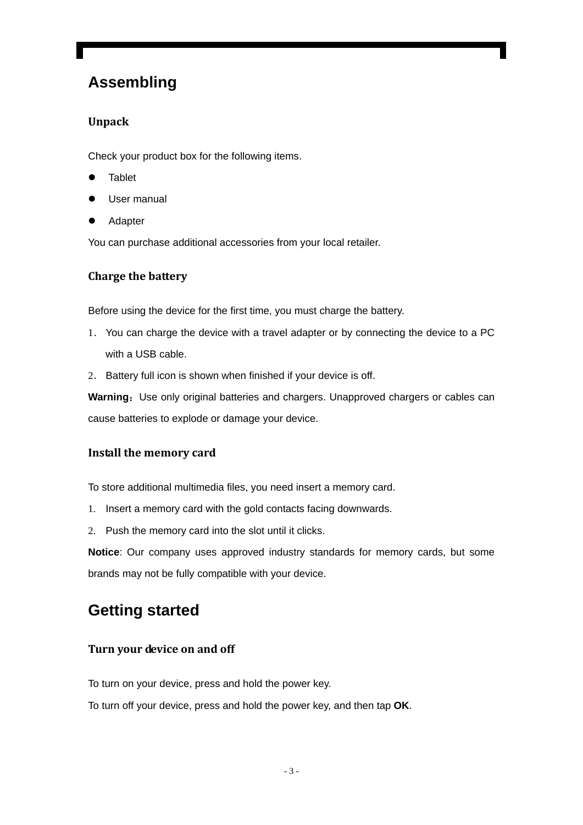## **Assembling**

#### **Unpack**

Check your product box for the following items.

- **Tablet**
- User manual
- **Adapter**

You can purchase additional accessories from your local retailer.

#### **Charge the battery**

Before using the device for the first time, you must charge the battery.

- 1. You can charge the device with a travel adapter or by connecting the device to a PC with a USB cable.
- 2. Battery full icon is shown when finished if your device is off.

**Warning:** Use only original batteries and chargers. Unapproved chargers or cables can cause batteries to explode or damage your device.

#### **Install the memory card**

To store additional multimedia files, you need insert a memory card.

- 1. Insert a memory card with the gold contacts facing downwards.
- 2. Push the memory card into the slot until it clicks.

**Notice**: Our company uses approved industry standards for memory cards, but some brands may not be fully compatible with your device.

## **Getting started**

#### **Turn your device on and off**

To turn on your device, press and hold the power key.

To turn off your device, press and hold the power key, and then tap **OK**.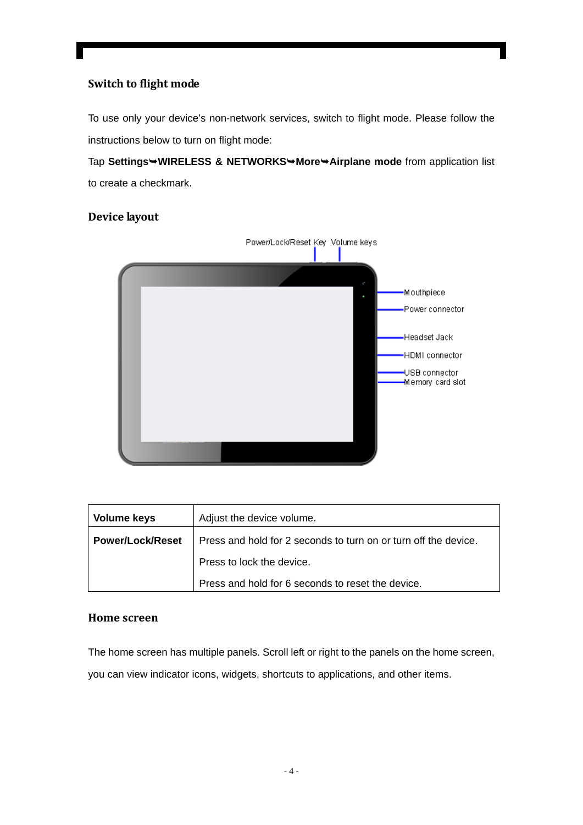#### **Switch to flight mode**

To use only your device's non-network services, switch to flight mode. Please follow the instructions below to turn on flight mode:

Tap **Settings**¬**WIRELESS & NETWORKS**¬**More**¬**Airplane mode** from application list to create a checkmark.

#### **Device layout**



| <b>Volume keys</b>      | Adjust the device volume.                                       |
|-------------------------|-----------------------------------------------------------------|
| <b>Power/Lock/Reset</b> | Press and hold for 2 seconds to turn on or turn off the device. |
|                         | Press to lock the device.                                       |
|                         | Press and hold for 6 seconds to reset the device.               |

#### **Home screen**

The home screen has multiple panels. Scroll left or right to the panels on the home screen, you can view indicator icons, widgets, shortcuts to applications, and other items.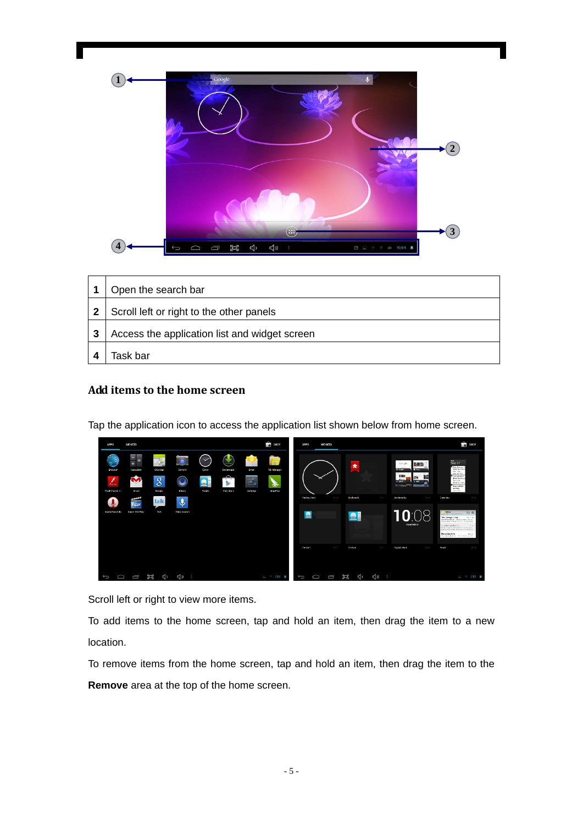

|              | Open the search bar                           |
|--------------|-----------------------------------------------|
| $\mathbf{2}$ | Scroll left or right to the other panels      |
| 3            | Access the application list and widget screen |
|              | Task bar                                      |

#### **Add items to the home screen**

Tap the application icon to access the application list shown below from home screen.

| <b>APPS</b>                                                       | <b>WIDGETS</b>                                                              |                                                          |                                                                |                                                                 |                              |                                                              | $\frac{1}{\sqrt{2}}$ SHOP                  | <b>APPS</b>                  | WIDGETS       |                               |             |                                                                                                                                                                         |                                                                              | $\frac{1}{2}$ SHOP                                                                                                                                                                                                                                                                                                                                                                                                                                                                                                                                                                                                                                     |
|-------------------------------------------------------------------|-----------------------------------------------------------------------------|----------------------------------------------------------|----------------------------------------------------------------|-----------------------------------------------------------------|------------------------------|--------------------------------------------------------------|--------------------------------------------|------------------------------|---------------|-------------------------------|-------------|-------------------------------------------------------------------------------------------------------------------------------------------------------------------------|------------------------------------------------------------------------------|--------------------------------------------------------------------------------------------------------------------------------------------------------------------------------------------------------------------------------------------------------------------------------------------------------------------------------------------------------------------------------------------------------------------------------------------------------------------------------------------------------------------------------------------------------------------------------------------------------------------------------------------------------|
| Browser<br>Ø<br>$\Delta$<br>Flash Player S<br>k.<br>Sound Feoorde | -<br>=<br>÷<br>Calculator<br>м<br>w<br>Gmail<br>Į<br>21600<br>Super-HD Play | w<br>Colendar<br>$\overline{8}$<br>Google<br>talk<br>Tak | $\bullet$<br>Comera<br>$\bullet$<br>Music<br>ه<br>Voice Search | $\checkmark$<br>Clock<br>_<br>$\overline{\mathbf{e}}$<br>People | Downloads<br>⌒<br>Play Store | Email<br>$\overline{\phantom{a}}^{\circ}$<br>اهت<br>Settings | $\sqrt{2}$<br>File Manager<br>⊛<br>SnapPca | Ansleg clock<br>$\mathbf{e}$ | $2 \times 2$  | ★<br>Bookmerk<br>$\mathbf{P}$ | $1\times 1$ | Cough<br><b>CONTRACTOR</b><br><b>X</b> Fixed<br><b>St. Avapre</b><br>1913<br>29<br>P<br>$+1$ when<br><b>Professor</b><br>--<br>Buckmarks<br>$10^{\circ}$<br>FRUCTOOR #5 | 核膜<br><b>Contract</b><br>幽<br><b>Taxable</b><br><b>START</b><br>$3 \times 3$ | Sep27<br><b>Edit Detire 1</b><br><b>Make los Dragon</b><br>Tare - San<br>Show Law Moore<br><b>If Save marking</b><br>deeps for Service<br>Ben - Le<br><b>Barbon Mill</b><br>Stop machine<br>existed<br>$\tau_{\rm BFR} \sim 0.00$ :<br>$2 \times 3$<br>Créencher<br><b>IDIC</b> AUTOR 15<br>Tim, Deerge, I kney.<br>No. 10 Steel<br>Once to see mount :- Wardec'ts dies a fire and<br>relianshows only agreement of you yearns.<br>college students.<br><b>STATISTICS</b><br>Deadline placed it with the working in<br>the department and all are rainfrom to buy and each<br>Marco Zacchino<br>42, 24, 27<br>Homitated Libraries Permitte to any for- |
|                                                                   |                                                                             |                                                          |                                                                |                                                                 |                              |                                                              |                                            | Contact                      | $-2 \times 1$ | Cartaot                       | 1 × 1       | Digital clock                                                                                                                                                           | $0 \times 2$                                                                 | <b>Frrust</b><br>$3 \times 2$                                                                                                                                                                                                                                                                                                                                                                                                                                                                                                                                                                                                                          |
| ≏<br>$\overline{\phantom{0}}$                                     | Ū                                                                           | Ξ<br>ć                                                   | <b>&lt;()</b>                                                  |                                                                 |                              |                                                              | $-$ 7 2.59 $\pm$                           | D<br>$\bigcup$               | Ū             | Ξ<br>K)                       | ৰ্তা        |                                                                                                                                                                         |                                                                              | □ → 2:59 ■                                                                                                                                                                                                                                                                                                                                                                                                                                                                                                                                                                                                                                             |

Scroll left or right to view more items.

To add items to the home screen, tap and hold an item, then drag the item to a new location.

To remove items from the home screen, tap and hold an item, then drag the item to the **Remove** area at the top of the home screen.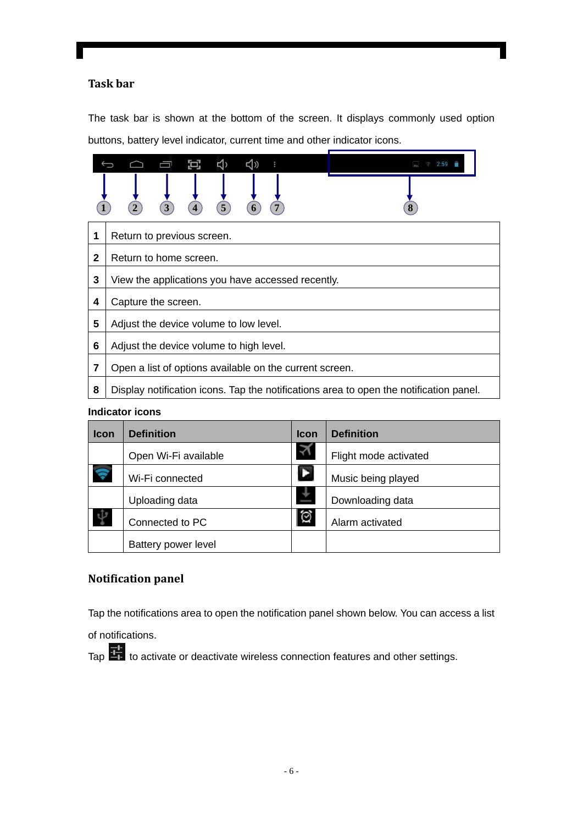#### **Task bar**

The task bar is shown at the bottom of the screen. It displays commonly used option buttons, battery level indicator, current time and other indicator icons.

|              | Ð.                                                                                     |  |  |  |  |  |
|--------------|----------------------------------------------------------------------------------------|--|--|--|--|--|
|              |                                                                                        |  |  |  |  |  |
| 1            | Return to previous screen.                                                             |  |  |  |  |  |
| $\mathbf{2}$ | Return to home screen.                                                                 |  |  |  |  |  |
| 3            | View the applications you have accessed recently.                                      |  |  |  |  |  |
| 4            | Capture the screen.                                                                    |  |  |  |  |  |
| 5            | Adjust the device volume to low level.                                                 |  |  |  |  |  |
| 6            | Adjust the device volume to high level.                                                |  |  |  |  |  |
| 7            | Open a list of options available on the current screen.                                |  |  |  |  |  |
| 8            | Display notification icons. Tap the notifications area to open the notification panel. |  |  |  |  |  |

#### **Indicator icons**

| <b>Icon</b> | <b>Definition</b>    | <b>Icon</b> | <b>Definition</b>     |
|-------------|----------------------|-------------|-----------------------|
|             | Open Wi-Fi available |             | Flight mode activated |
| Ş           | Wi-Fi connected      |             | Music being played    |
|             | Uploading data       |             | Downloading data      |
|             | Connected to PC      | 仓           | Alarm activated       |
|             | Battery power level  |             |                       |

#### **Notification panel**

Tap the notifications area to open the notification panel shown below. You can access a list

of notifications.

Tap  $\frac{1}{10}$  to activate or deactivate wireless connection features and other settings.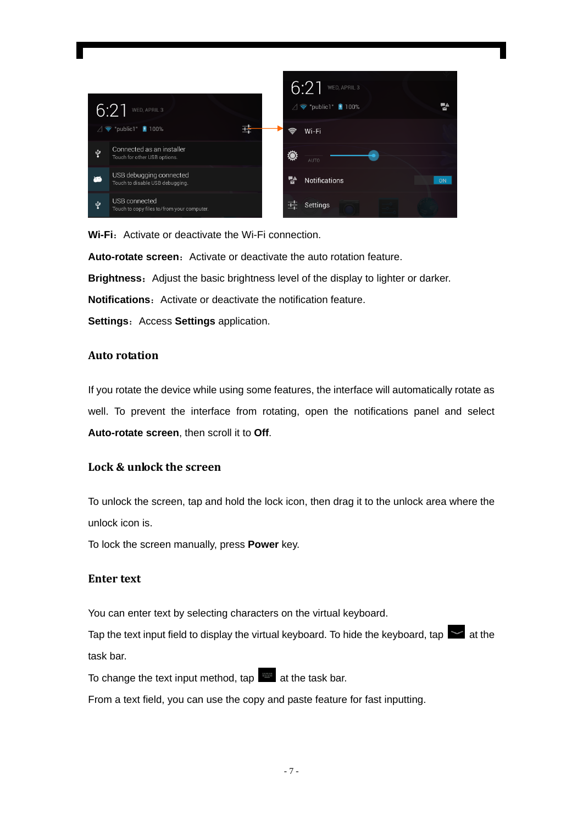

**Wi-Fi:** Activate or deactivate the Wi-Fi connection.

**Auto-rotate screen:** Activate or deactivate the auto rotation feature.

**Brightness**:Adjust the basic brightness level of the display to lighter or darker.

**Notifications:** Activate or deactivate the notification feature.

**Settings: Access Settings application.** 

#### **Auto rotation**

If you rotate the device while using some features, the interface will automatically rotate as well. To prevent the interface from rotating, open the notifications panel and select **Auto-rotate screen**, then scroll it to **Off**.

#### **Lock & unlock the screen**

To unlock the screen, tap and hold the lock icon, then drag it to the unlock area where the unlock icon is.

To lock the screen manually, press **Power** key.

#### **Enter text**

You can enter text by selecting characters on the virtual keyboard.

Tap the text input field to display the virtual keyboard. To hide the keyboard, tap  $\blacktriangleright$  at the task bar.

To change the text input method, tap  $\Box$  at the task bar.

From a text field, you can use the copy and paste feature for fast inputting.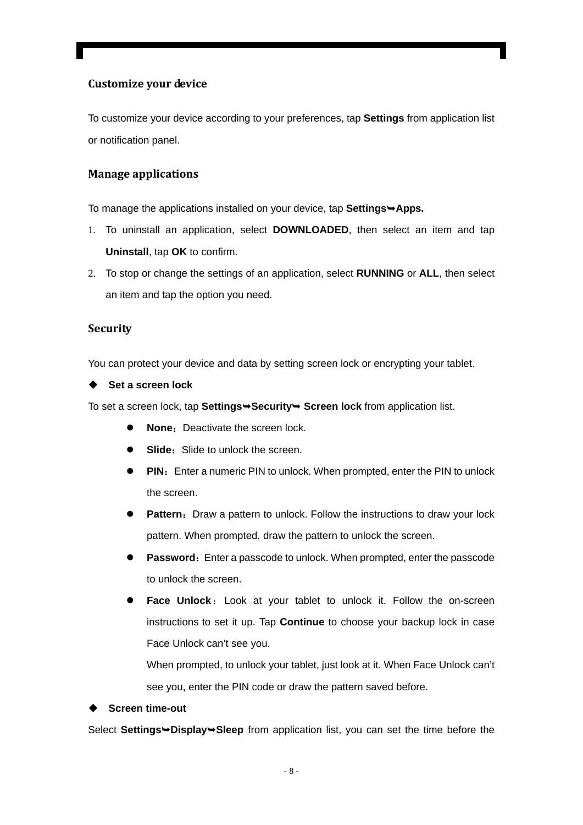#### **Customize your device**

To customize your device according to your preferences, tap **Settings** from application list or notification panel.

#### **Manage applications**

To manage the applications installed on your device, tap **Settings >Apps.** 

- 1. To uninstall an application, select **DOWNLOADED**, then select an item and tap **Uninstall**, tap **OK** to confirm.
- 2. To stop or change the settings of an application, select **RUNNING** or **ALL**, then select an item and tap the option you need.

#### **Security**

You can protect your device and data by setting screen lock or encrypting your tablet.

**Set a screen lock** 

To set a screen lock, tap **Settings→Security→ Screen lock** from application list.

- **None:** Deactivate the screen lock.
- **Slide:** Slide to unlock the screen.
- **PIN:** Enter a numeric PIN to unlock. When prompted, enter the PIN to unlock the screen.
- **Pattern:** Draw a pattern to unlock. Follow the instructions to draw your lock pattern. When prompted, draw the pattern to unlock the screen.
- **Password:** Enter a passcode to unlock. When prompted, enter the passcode to unlock the screen.
- Face Unlock: Look at your tablet to unlock it. Follow the on-screen instructions to set it up. Tap **Continue** to choose your backup lock in case Face Unlock can't see you.

When prompted, to unlock your tablet, just look at it. When Face Unlock can't see you, enter the PIN code or draw the pattern saved before.

**Screen time-out** 

Select **Settings**¬**Display**¬**Sleep** from application list, you can set the time before the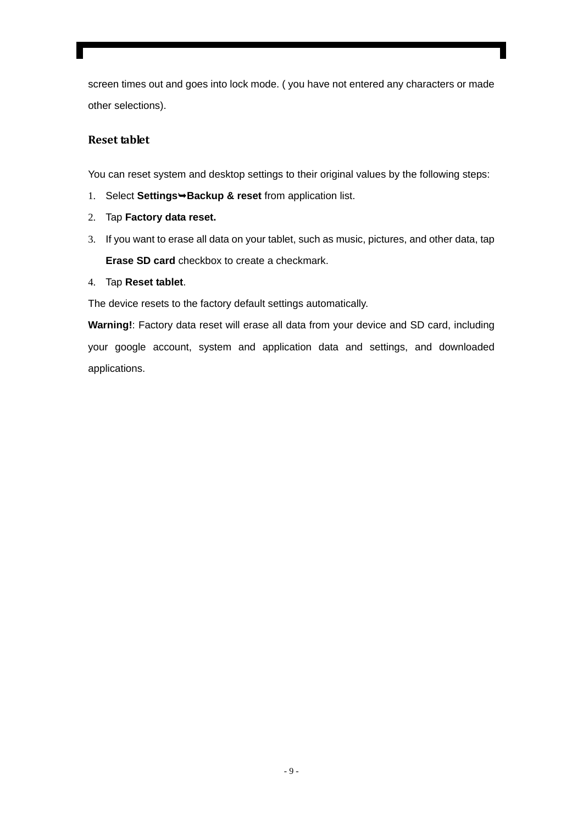screen times out and goes into lock mode. ( you have not entered any characters or made other selections).

#### **Reset tablet**

You can reset system and desktop settings to their original values by the following steps:

- 1. Select **Settings**¬**Backup & reset** from application list.
- 2. Tap **Factory data reset.**
- 3. If you want to erase all data on your tablet, such as music, pictures, and other data, tap **Erase SD card** checkbox to create a checkmark.
- 4. Tap **Reset tablet**.

The device resets to the factory default settings automatically.

**Warning!**: Factory data reset will erase all data from your device and SD card, including your google account, system and application data and settings, and downloaded applications.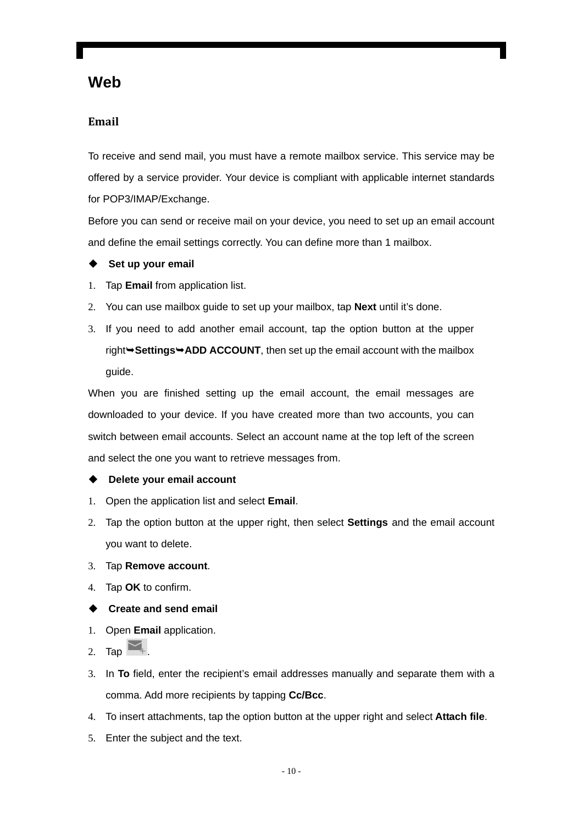### **Web**

#### **Email**

To receive and send mail, you must have a remote mailbox service. This service may be offered by a service provider. Your device is compliant with applicable internet standards for POP3/IMAP/Exchange.

Before you can send or receive mail on your device, you need to set up an email account and define the email settings correctly. You can define more than 1 mailbox.

- ◆ Set up your email
- 1. Tap **Email** from application list.
- 2. You can use mailbox guide to set up your mailbox, tap **Next** until it's done.
- 3. If you need to add another email account, tap the option button at the upper right $\rightarrow$ **Settings** $\rightarrow$ **ADD ACCOUNT**, then set up the email account with the mailbox guide.

When you are finished setting up the email account, the email messages are downloaded to your device. If you have created more than two accounts, you can switch between email accounts. Select an account name at the top left of the screen and select the one you want to retrieve messages from.

#### **Delete your email account**

- 1. Open the application list and select **Email**.
- 2. Tap the option button at the upper right, then select **Settings** and the email account you want to delete.
- 3. Tap **Remove account**.
- 4. Tap **OK** to confirm.
- **Create and send email**
- 1. Open **Email** application.
- 2. Tap  $\blacktriangleright$
- 3. In **To** field, enter the recipient's email addresses manually and separate them with a comma. Add more recipients by tapping **Cc/Bcc**.
- 4. To insert attachments, tap the option button at the upper right and select **Attach file**.
- 5. Enter the subject and the text.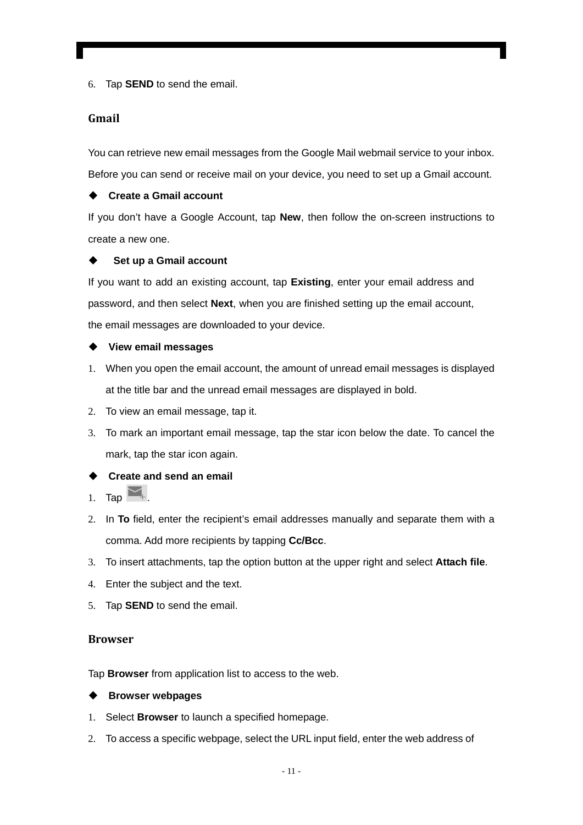6. Tap **SEND** to send the email.

#### **Gmail**

You can retrieve new email messages from the Google Mail webmail service to your inbox. Before you can send or receive mail on your device, you need to set up a Gmail account.

#### ◆ Create a Gmail account

If you don't have a Google Account, tap **New**, then follow the on-screen instructions to create a new one.

#### **Set up a Gmail account**

If you want to add an existing account, tap **Existing**, enter your email address and password, and then select **Next**, when you are finished setting up the email account, the email messages are downloaded to your device.

#### **View email messages**

- 1. When you open the email account, the amount of unread email messages is displayed at the title bar and the unread email messages are displayed in bold.
- 2. To view an email message, tap it.
- 3. To mark an important email message, tap the star icon below the date. To cancel the mark, tap the star icon again.

#### **Create and send an email**

- 1. Tap  $\overline{\phantom{a}}$
- 2. In **To** field, enter the recipient's email addresses manually and separate them with a comma. Add more recipients by tapping **Cc/Bcc**.
- 3. To insert attachments, tap the option button at the upper right and select **Attach file**.
- 4. Enter the subject and the text.
- 5. Tap **SEND** to send the email.

#### **Browser**

Tap **Browser** from application list to access to the web.

#### **Browser webpages**

- 1. Select **Browser** to launch a specified homepage.
- 2. To access a specific webpage, select the URL input field, enter the web address of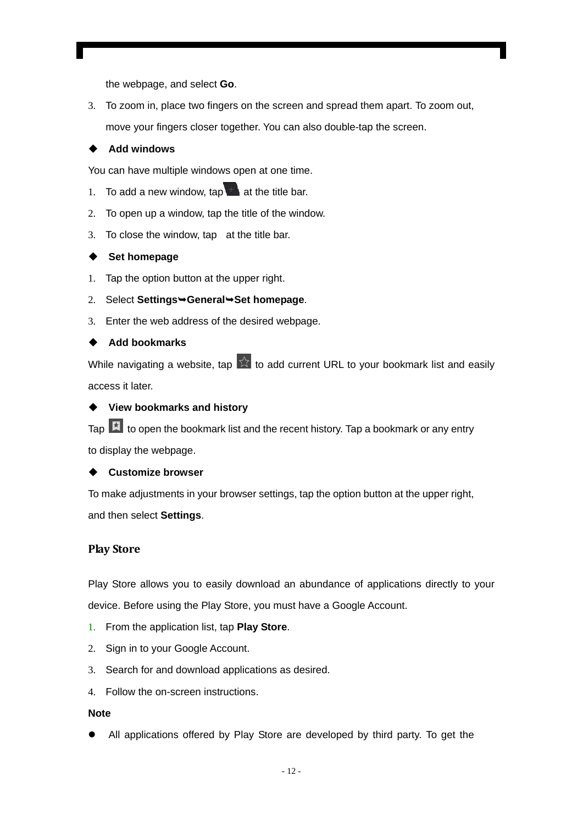the webpage, and select **Go**.

3. To zoom in, place two fingers on the screen and spread them apart. To zoom out, move your fingers closer together. You can also double-tap the screen.

#### ◆ Add windows

You can have multiple windows open at one time.

- 1. To add a new window,  $tan \theta$  at the title bar.
- 2. To open up a window, tap the title of the window.
- 3. To close the window, tap at the title bar.

#### ◆ Set homepage

- 1. Tap the option button at the upper right.
- 2. Select **Settings**¬**General**¬**Set homepage**.
- 3. Enter the web address of the desired webpage.

#### ◆ Add bookmarks

While navigating a website, tap  $\sqrt{2}$  to add current URL to your bookmark list and easily access it later.

#### **View bookmarks and history**

Tap  $\mathbf{E}$  to open the bookmark list and the recent history. Tap a bookmark or any entry to display the webpage.

#### **Customize browser**

To make adjustments in your browser settings, tap the option button at the upper right, and then select **Settings**.

#### **Play Store**

Play Store allows you to easily download an abundance of applications directly to your device. Before using the Play Store, you must have a Google Account.

- 1. From the application list, tap **Play Store**.
- 2. Sign in to your Google Account.
- 3. Search for and download applications as desired.
- 4. Follow the on-screen instructions.

#### **Note**

• All applications offered by Play Store are developed by third party. To get the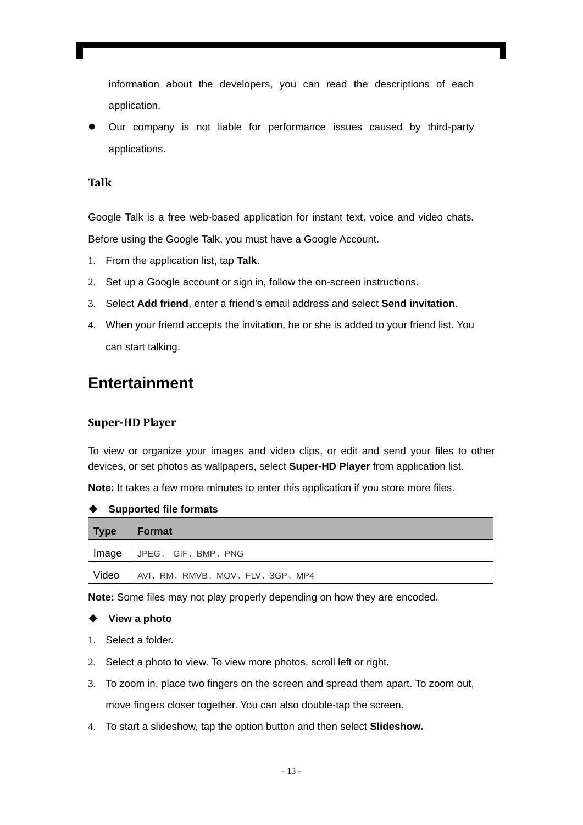information about the developers, you can read the descriptions of each application.

• Our company is not liable for performance issues caused by third-party applications.

#### **Talk**

Google Talk is a free web-based application for instant text, voice and video chats. Before using the Google Talk, you must have a Google Account.

- 1. From the application list, tap **Talk**.
- 2. Set up a Google account or sign in, follow the on-screen instructions.
- 3. Select **Add friend**, enter a friend's email address and select **Send invitation**.
- 4. When your friend accepts the invitation, he or she is added to your friend list. You can start talking.

### **Entertainment**

#### **SuperHD Player**

To view or organize your images and video clips, or edit and send your files to other devices, or set photos as wallpapers, select **Super-HD Player** from application list.

**Note:** It takes a few more minutes to enter this application if you store more files.

| Type         | Format                      |
|--------------|-----------------------------|
| Image        | I JPEG、 GIF、BMP、PNG         |
| <b>Video</b> | AVI、RM、RMVB、MOV、FLV、3GP、MP4 |

**Supported file formats** 

**Note:** Some files may not play properly depending on how they are encoded.

#### **View a photo**

- 1. Select a folder.
- 2. Select a photo to view. To view more photos, scroll left or right.
- 3. To zoom in, place two fingers on the screen and spread them apart. To zoom out, move fingers closer together. You can also double-tap the screen.
- 4. To start a slideshow, tap the option button and then select **Slideshow.**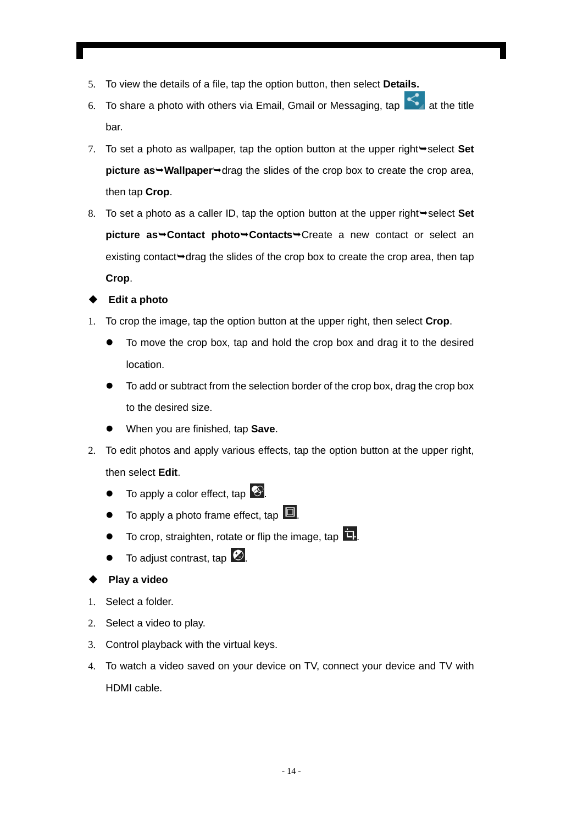- 5. To view the details of a file, tap the option button, then select **Details.**
- 6. To share a photo with others via Email, Gmail or Messaging, tap  $\Box$  at the title bar.
- 7. To set a photo as wallpaper, tap the option button at the upper right $\rightarrow$  select **Set picture as**  $\rightarrow$  **Wallpaper** $\rightarrow$  drag the slides of the crop box to create the crop area, then tap **Crop**.
- 8. To set a photo as a caller ID, tap the option button at the upper right→select Set **picture as → Contact photo → Contacts →** Create a new contact or select an existing contact $\rightarrow$  drag the slides of the crop box to create the crop area, then tap **Crop**.

#### **Edit a photo**

- 1. To crop the image, tap the option button at the upper right, then select **Crop**.
	- To move the crop box, tap and hold the crop box and drag it to the desired location.
	- To add or subtract from the selection border of the crop box, drag the crop box to the desired size.
	- When you are finished, tap **Save**.
- 2. To edit photos and apply various effects, tap the option button at the upper right, then select **Edit**.
	- $\bullet$  To apply a color effect, tap  $\bullet$ .
	- To apply a photo frame effect, tap  $\blacksquare$ .
	- To crop, straighten, rotate or flip the image, tap  $\Box$ .
	- To adjust contrast, tap  $\omega$ .

#### **Play a video**

- 1. Select a folder.
- 2. Select a video to play.
- 3. Control playback with the virtual keys.
- 4. To watch a video saved on your device on TV, connect your device and TV with HDMI cable.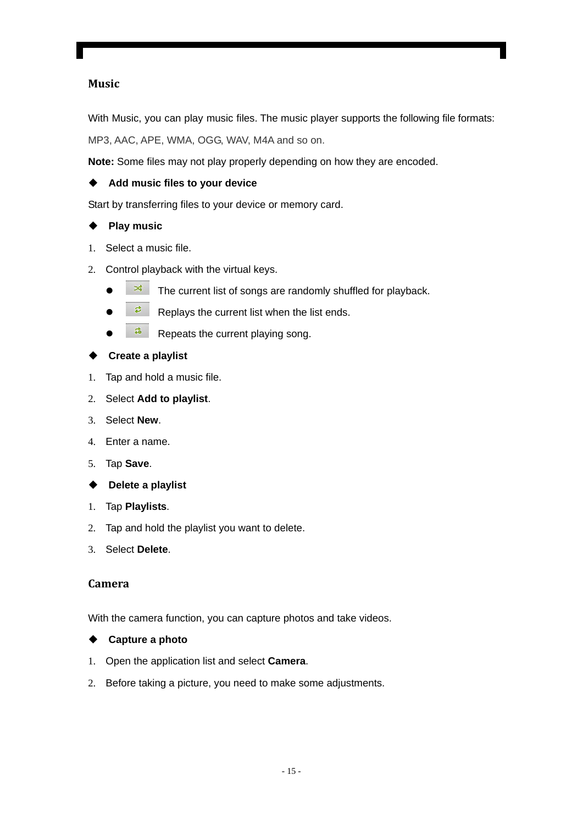#### **Music**

With Music, you can play music files. The music player supports the following file formats: MP3, AAC, APE, WMA, OGG, WAV, M4A and so on.

**Note:** Some files may not play properly depending on how they are encoded.

#### **Add music files to your device**

Start by transferring files to your device or memory card.

#### **Play music**

- 1. Select a music file.
- 2. Control playback with the virtual keys.
	- $\bullet$   $\overrightarrow{a}$  The current list of songs are randomly shuffled for playback.
	- $\overline{z}$  Replays the current list when the list ends.
	- $\frac{2}{\sqrt{2}}$  Repeats the current playing song.

#### **Create a playlist**

- 1. Tap and hold a music file.
- 2. Select **Add to playlist**.
- 3. Select **New**.
- 4. Enter a name.
- 5. Tap **Save**.
- **Delete a playlist**
- 1. Tap **Playlists**.
- 2. Tap and hold the playlist you want to delete.
- 3. Select **Delete**.

#### **Camera**

With the camera function, you can capture photos and take videos.

#### **Capture a photo**

- 1. Open the application list and select **Camera**.
- 2. Before taking a picture, you need to make some adjustments.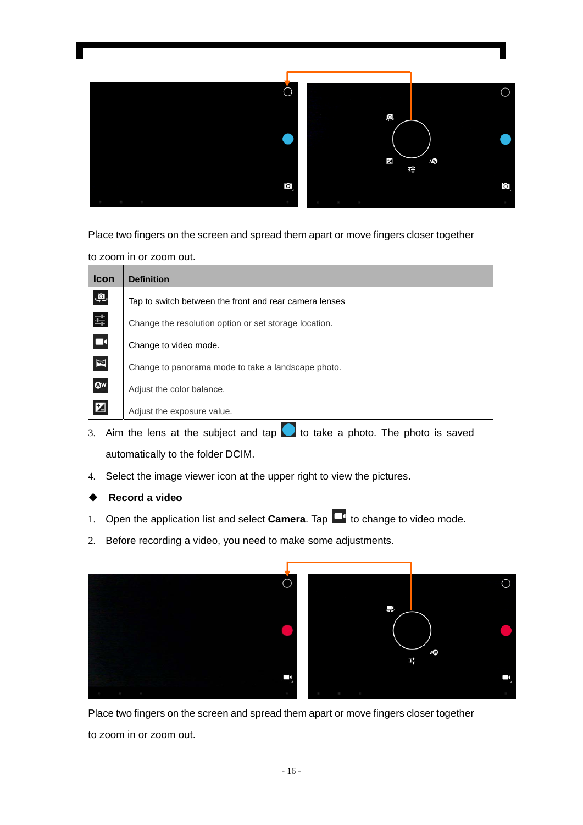

Place two fingers on the screen and spread them apart or move fingers closer together

to zoom in or zoom out.

| <b>Icon</b>              | <b>Definition</b>                                      |
|--------------------------|--------------------------------------------------------|
| $\mathbf{Q}$             | Tap to switch between the front and rear camera lenses |
| $\frac{-1}{1-\epsilon}$  | Change the resolution option or set storage location.  |
| $\overline{\phantom{a}}$ | Change to video mode.                                  |
| $\mathbb{Z}$             | Change to panorama mode to take a landscape photo.     |
| $\bullet$                | Adjust the color balance.                              |
| $\mathbf{Z}$             | Adjust the exposure value.                             |

- 3. Aim the lens at the subject and tap  $\bullet$  to take a photo. The photo is saved automatically to the folder DCIM.
- 4. Select the image viewer icon at the upper right to view the pictures.

#### **Record a video**

- 1. Open the application list and select **Camera**. Tap **1** to change to video mode.
- 2. Before recording a video, you need to make some adjustments.



Place two fingers on the screen and spread them apart or move fingers closer together

to zoom in or zoom out.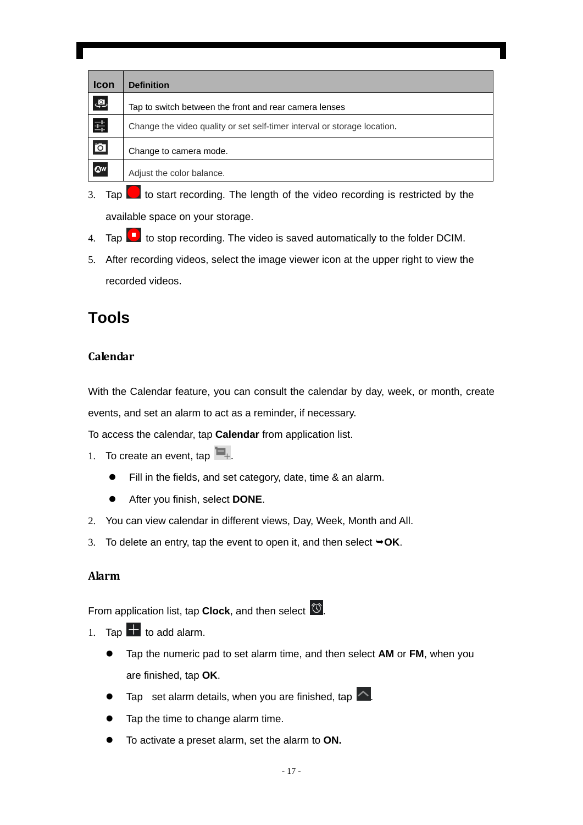| <b>Icon</b>             | <b>Definition</b>                                                        |
|-------------------------|--------------------------------------------------------------------------|
| $\mathbf{Q}$            | Tap to switch between the front and rear camera lenses                   |
| 퓩                       | Change the video quality or set self-timer interval or storage location. |
| $\overline{\mathbf{o}}$ | Change to camera mode.                                                   |
| $\bullet$               | Adjust the color balance.                                                |

- 3. Tap  $\Box$  to start recording. The length of the video recording is restricted by the available space on your storage.
- 4. Tap **th** to stop recording. The video is saved automatically to the folder DCIM.
- 5. After recording videos, select the image viewer icon at the upper right to view the recorded videos.

## **Tools**

#### **Calendar**

With the Calendar feature, you can consult the calendar by day, week, or month, create events, and set an alarm to act as a reminder, if necessary.

To access the calendar, tap **Calendar** from application list.

- 1. To create an event, tap  $\blacksquare_+$ .
	- Fill in the fields, and set category, date, time & an alarm.
	- **•** After you finish, select **DONE**.
- 2. You can view calendar in different views, Day, Week, Month and All.
- 3. To delete an entry, tap the event to open it, and then select  $\rightarrow$  OK.

#### **Alarm**

From application list, tap **Clock**, and then select .

- 1. Tap  $\mathbf{t}$  to add alarm.
	- Tap the numeric pad to set alarm time, and then select AM or FM, when you are finished, tap **OK**.
	- Tap set alarm details, when you are finished, tap  $\sim$ .
	- Tap the time to change alarm time.
	- To activate a preset alarm, set the alarm to ON.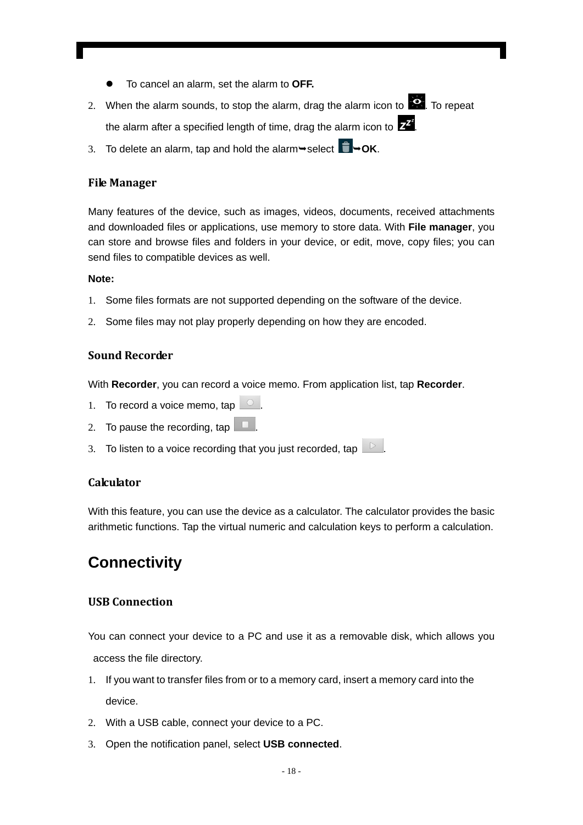- z To cancel an alarm, set the alarm to **OFF.**
- 2. When the alarm sounds, to stop the alarm, drag the alarm icon to  $\mathbb{R}$ . To repeat the alarm after a specified length of time, drag the alarm icon to  $\mathbf{Z}^{\mathbf{Z}}$
- 3. To delete an alarm, tap and hold the alarm $\rightarrow$ select  $\Box \rightarrow$ OK.

#### **File Manager**

Many features of the device, such as images, videos, documents, received attachments and downloaded files or applications, use memory to store data. With **File manager**, you can store and browse files and folders in your device, or edit, move, copy files; you can send files to compatible devices as well.

#### **Note:**

- 1. Some files formats are not supported depending on the software of the device.
- 2. Some files may not play properly depending on how they are encoded.

#### **Sound Recorder**

With **Recorder**, you can record a voice memo. From application list, tap **Recorder**.

- 1. To record a voice memo, tap  $\Box$
- 2. To pause the recording, tap  $\Box$
- 3. To listen to a voice recording that you just recorded, tap

#### **Calculator**

With this feature, you can use the device as a calculator. The calculator provides the basic arithmetic functions. Tap the virtual numeric and calculation keys to perform a calculation.

## **Connectivity**

#### **USB Connection**

You can connect your device to a PC and use it as a removable disk, which allows you access the file directory.

- 1. If you want to transfer files from or to a memory card, insert a memory card into the device.
- 2. With a USB cable, connect your device to a PC.
- 3. Open the notification panel, select **USB connected**.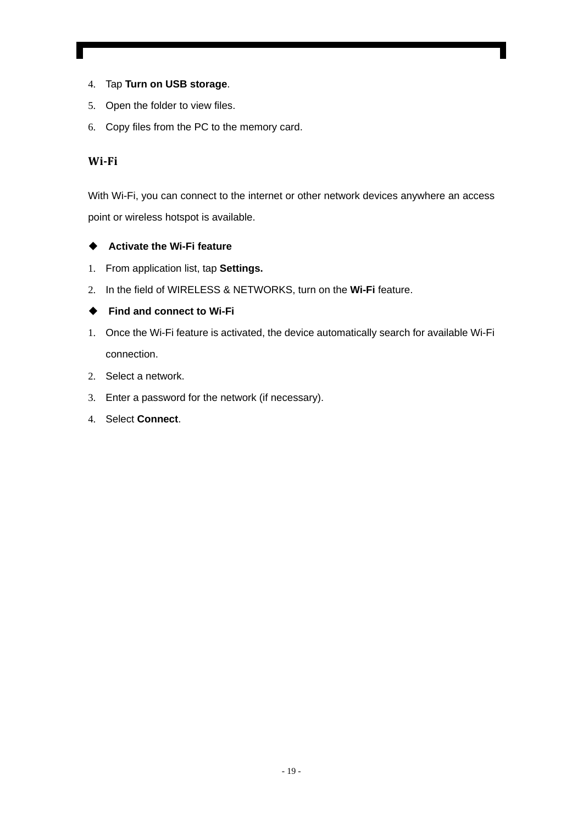- 4. Tap **Turn on USB storage**.
- 5. Open the folder to view files.
- 6. Copy files from the PC to the memory card.

#### **WiFi**

With Wi-Fi, you can connect to the internet or other network devices anywhere an access point or wireless hotspot is available.

#### **Activate the Wi-Fi feature**

- 1. From application list, tap **Settings.**
- 2. In the field of WIRELESS & NETWORKS, turn on the **Wi-Fi** feature.

#### ◆ Find and connect to Wi-Fi

- 1. Once the Wi-Fi feature is activated, the device automatically search for available Wi-Fi connection.
- 2. Select a network.
- 3. Enter a password for the network (if necessary).
- 4. Select **Connect**.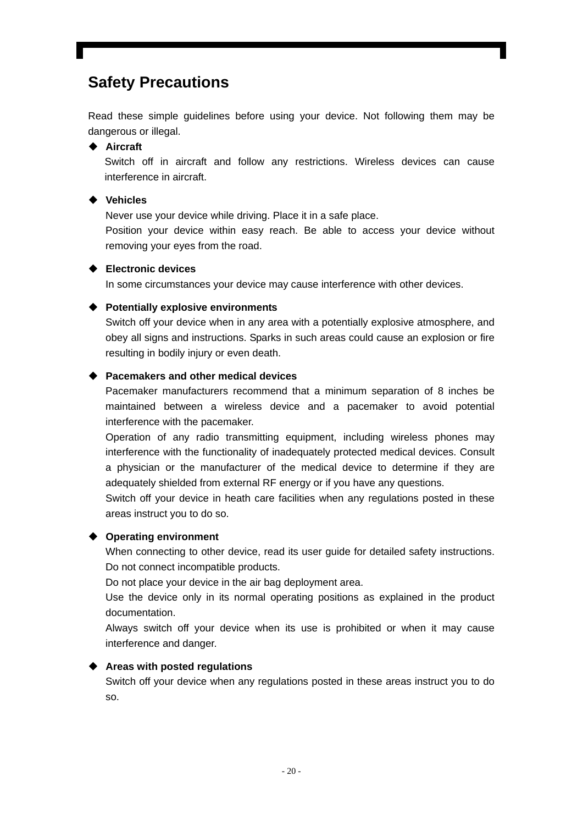## **Safety Precautions**

Read these simple guidelines before using your device. Not following them may be dangerous or illegal.

#### **Aircraft**

Switch off in aircraft and follow any restrictions. Wireless devices can cause interference in aircraft.

#### **Vehicles**

Never use your device while driving. Place it in a safe place.

Position your device within easy reach. Be able to access your device without removing your eyes from the road.

#### **Electronic devices**

In some circumstances your device may cause interference with other devices.

#### **Potentially explosive environments**

Switch off your device when in any area with a potentially explosive atmosphere, and obey all signs and instructions. Sparks in such areas could cause an explosion or fire resulting in bodily injury or even death.

#### **Pacemakers and other medical devices**

Pacemaker manufacturers recommend that a minimum separation of 8 inches be maintained between a wireless device and a pacemaker to avoid potential interference with the pacemaker.

Operation of any radio transmitting equipment, including wireless phones may interference with the functionality of inadequately protected medical devices. Consult a physician or the manufacturer of the medical device to determine if they are adequately shielded from external RF energy or if you have any questions.

Switch off your device in heath care facilities when any regulations posted in these areas instruct you to do so.

#### **Operating environment**

When connecting to other device, read its user guide for detailed safety instructions. Do not connect incompatible products.

Do not place your device in the air bag deployment area.

Use the device only in its normal operating positions as explained in the product documentation.

Always switch off your device when its use is prohibited or when it may cause interference and danger.

#### **Areas with posted regulations**

Switch off your device when any regulations posted in these areas instruct you to do so.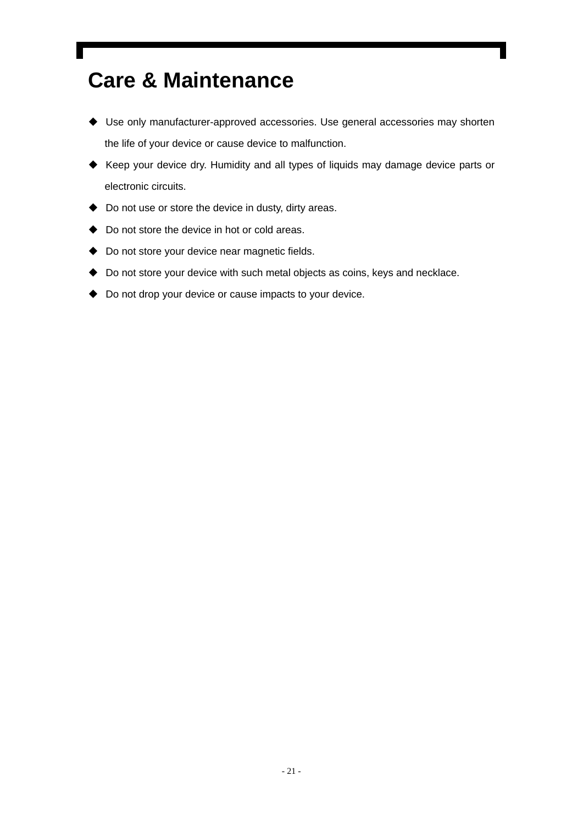## **Care & Maintenance**

- Use only manufacturer-approved accessories. Use general accessories may shorten the life of your device or cause device to malfunction.
- Keep your device dry. Humidity and all types of liquids may damage device parts or electronic circuits.
- ◆ Do not use or store the device in dusty, dirty areas.
- ◆ Do not store the device in hot or cold areas.
- ◆ Do not store your device near magnetic fields.
- Do not store your device with such metal objects as coins, keys and necklace.
- ◆ Do not drop your device or cause impacts to your device.